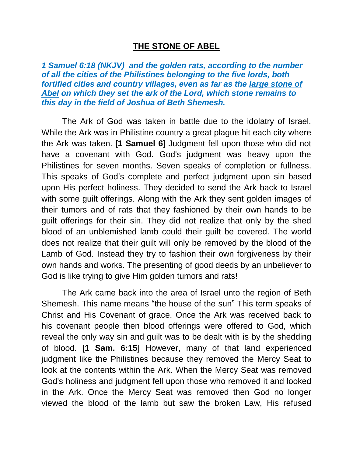## **THE STONE OF ABEL**

*1 Samuel 6:18 (NKJV) and the golden rats, according to the number of all the cities of the Philistines belonging to the five lords, both fortified cities and country villages, even as far as the large stone of Abel on which they set the ark of the Lord, which stone remains to this day in the field of Joshua of Beth Shemesh.* 

The Ark of God was taken in battle due to the idolatry of Israel. While the Ark was in Philistine country a great plague hit each city where the Ark was taken. [**1 Samuel 6**] Judgment fell upon those who did not have a covenant with God. God's judgment was heavy upon the Philistines for seven months. Seven speaks of completion or fullness. This speaks of God's complete and perfect judgment upon sin based upon His perfect holiness. They decided to send the Ark back to Israel with some guilt offerings. Along with the Ark they sent golden images of their tumors and of rats that they fashioned by their own hands to be guilt offerings for their sin. They did not realize that only by the shed blood of an unblemished lamb could their guilt be covered. The world does not realize that their guilt will only be removed by the blood of the Lamb of God. Instead they try to fashion their own forgiveness by their own hands and works. The presenting of good deeds by an unbeliever to God is like trying to give Him golden tumors and rats!

The Ark came back into the area of Israel unto the region of Beth Shemesh. This name means "the house of the sun" This term speaks of Christ and His Covenant of grace. Once the Ark was received back to his covenant people then blood offerings were offered to God, which reveal the only way sin and guilt was to be dealt with is by the shedding of blood. [**1 Sam. 6:15**] However, many of that land experienced judgment like the Philistines because they removed the Mercy Seat to look at the contents within the Ark. When the Mercy Seat was removed God's holiness and judgment fell upon those who removed it and looked in the Ark. Once the Mercy Seat was removed then God no longer viewed the blood of the lamb but saw the broken Law, His refused